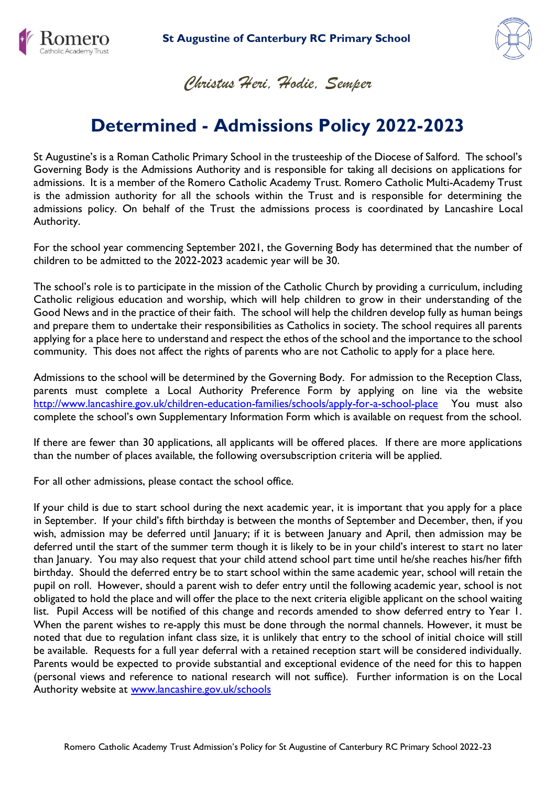



*Christus Heri, Hodie, Semper*

# **Determined - Admissions Policy 2022-2023**

St Augustine's is a Roman Catholic Primary School in the trusteeship of the Diocese of Salford. The school's Governing Body is the Admissions Authority and is responsible for taking all decisions on applications for admissions. It is a member of the Romero Catholic Academy Trust. Romero Catholic Multi-Academy Trust is the admission authority for all the schools within the Trust and is responsible for determining the admissions policy. On behalf of the Trust the admissions process is coordinated by Lancashire Local Authority.

For the school year commencing September 2021, the Governing Body has determined that the number of children to be admitted to the 2022-2023 academic year will be 30.

The school's role is to participate in the mission of the Catholic Church by providing a curriculum, including Catholic religious education and worship, which will help children to grow in their understanding of the Good News and in the practice of their faith. The school will help the children develop fully as human beings and prepare them to undertake their responsibilities as Catholics in society. The school requires all parents applying for a place here to understand and respect the ethos of the school and the importance to the school community. This does not affect the rights of parents who are not Catholic to apply for a place here.

Admissions to the school will be determined by the Governing Body. For admission to the Reception Class, parents must complete a Local Authority Preference Form by applying on line via the website <http://www.lancashire.gov.uk/children-education-families/schools/apply-for-a-school-place>You must also complete the school's own Supplementary Information Form which is available on request from the school.

If there are fewer than 30 applications, all applicants will be offered places. If there are more applications than the number of places available, the following oversubscription criteria will be applied.

For all other admissions, please contact the school office.

If your child is due to start school during the next academic year, it is important that you apply for a place in September. If your child's fifth birthday is between the months of September and December, then, if you wish, admission may be deferred until January; if it is between January and April, then admission may be deferred until the start of the summer term though it is likely to be in your child's interest to start no later than January. You may also request that your child attend school part time until he/she reaches his/her fifth birthday. Should the deferred entry be to start school within the same academic year, school will retain the pupil on roll. However, should a parent wish to defer entry until the following academic year, school is not obligated to hold the place and will offer the place to the next criteria eligible applicant on the school waiting list. Pupil Access will be notified of this change and records amended to show deferred entry to Year 1. When the parent wishes to re-apply this must be done through the normal channels. However, it must be noted that due to regulation infant class size, it is unlikely that entry to the school of initial choice will still be available. Requests for a full year deferral with a retained reception start will be considered individually. Parents would be expected to provide substantial and exceptional evidence of the need for this to happen (personal views and reference to national research will not suffice). Further information is on the Local Authority website at [www.lancashire.gov.uk/schools](http://www.lancashire.gov.uk/schools)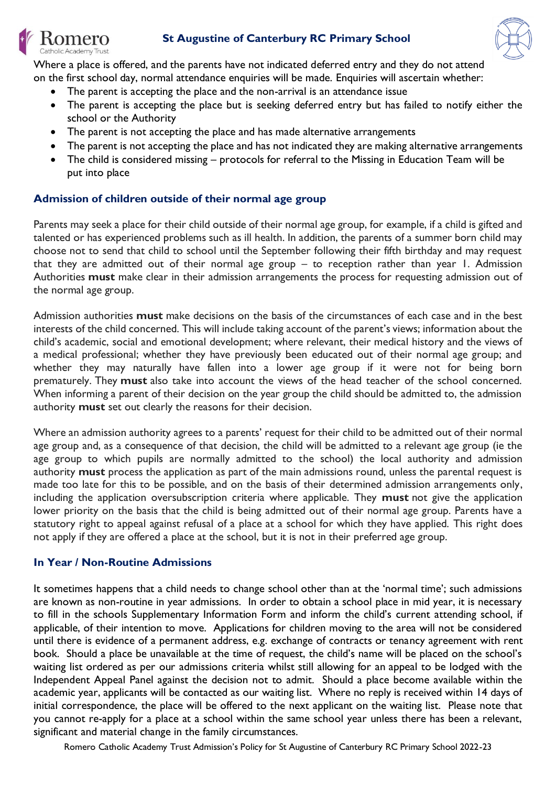



Where a place is offered, and the parents have not indicated deferred entry and they do not attend on the first school day, normal attendance enquiries will be made. Enquiries will ascertain whether:

- The parent is accepting the place and the non-arrival is an attendance issue
- The parent is accepting the place but is seeking deferred entry but has failed to notify either the school or the Authority
- The parent is not accepting the place and has made alternative arrangements
- The parent is not accepting the place and has not indicated they are making alternative arrangements
- The child is considered missing protocols for referral to the Missing in Education Team will be put into place

## **Admission of children outside of their normal age group**

omero atholic Academy Trust

Parents may seek a place for their child outside of their normal age group, for example, if a child is gifted and talented or has experienced problems such as ill health. In addition, the parents of a summer born child may choose not to send that child to school until the September following their fifth birthday and may request that they are admitted out of their normal age group – to reception rather than year 1. Admission Authorities **must** make clear in their admission arrangements the process for requesting admission out of the normal age group.

Admission authorities **must** make decisions on the basis of the circumstances of each case and in the best interests of the child concerned. This will include taking account of the parent's views; information about the child's academic, social and emotional development; where relevant, their medical history and the views of a medical professional; whether they have previously been educated out of their normal age group; and whether they may naturally have fallen into a lower age group if it were not for being born prematurely. They **must** also take into account the views of the head teacher of the school concerned. When informing a parent of their decision on the year group the child should be admitted to, the admission authority **must** set out clearly the reasons for their decision.

Where an admission authority agrees to a parents' request for their child to be admitted out of their normal age group and, as a consequence of that decision, the child will be admitted to a relevant age group (ie the age group to which pupils are normally admitted to the school) the local authority and admission authority **must** process the application as part of the main admissions round, unless the parental request is made too late for this to be possible, and on the basis of their determined admission arrangements only, including the application oversubscription criteria where applicable. They **must** not give the application lower priority on the basis that the child is being admitted out of their normal age group. Parents have a statutory right to appeal against refusal of a place at a school for which they have applied. This right does not apply if they are offered a place at the school, but it is not in their preferred age group.

## **In Year / Non-Routine Admissions**

It sometimes happens that a child needs to change school other than at the 'normal time'; such admissions are known as non-routine in year admissions. In order to obtain a school place in mid year, it is necessary to fill in the schools Supplementary Information Form and inform the child's current attending school, if applicable, of their intention to move. Applications for children moving to the area will not be considered until there is evidence of a permanent address, e.g. exchange of contracts or tenancy agreement with rent book. Should a place be unavailable at the time of request, the child's name will be placed on the school's waiting list ordered as per our admissions criteria whilst still allowing for an appeal to be lodged with the Independent Appeal Panel against the decision not to admit. Should a place become available within the academic year, applicants will be contacted as our waiting list. Where no reply is received within 14 days of initial correspondence, the place will be offered to the next applicant on the waiting list. Please note that you cannot re-apply for a place at a school within the same school year unless there has been a relevant, significant and material change in the family circumstances.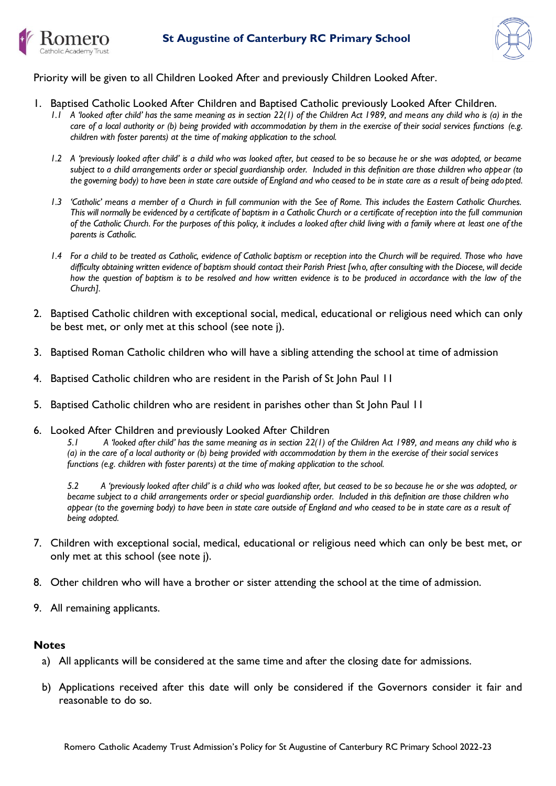



Priority will be given to all Children Looked After and previously Children Looked After.

- 1. Baptised Catholic Looked After Children and Baptised Catholic previously Looked After Children.
	- *1.1 A 'looked after child' has the same meaning as in section 22(1) of the Children Act 1989, and means any child who is (a) in the care of a local authority or (b) being provided with accommodation by them in the exercise of their social services functions (e.g. children with foster parents) at the time of making application to the school.*
	- *1.2 A 'previously looked after child' is a child who was looked after, but ceased to be so because he or she was adopted, or became subject to a child arrangements order or special guardianship order. Included in this definition are those children who appear (to the governing body) to have been in state care outside of England and who ceased to be in state care as a result of being adopted.*
	- *1.3 'Catholic' means a member of a Church in full communion with the See of Rome. This includes the Eastern Catholic Churches. This will normally be evidenced by a certificate of baptism in a Catholic Church or a certificate of reception into the full communion of the Catholic Church. For the purposes of this policy, it includes a looked after child living with a family where at least one of the parents is Catholic.*
	- *1.4 For a child to be treated as Catholic, evidence of Catholic baptism or reception into the Church will be required. Those who have difficulty obtaining written evidence of baptism should contact their Parish Priest [who, after consulting with the Diocese, will decide how the question of baptism is to be resolved and how written evidence is to be produced in accordance with the law of the Church].*
- 2. Baptised Catholic children with exceptional social, medical, educational or religious need which can only be best met, or only met at this school (see note j).
- 3. Baptised Roman Catholic children who will have a sibling attending the school at time of admission
- 4. Baptised Catholic children who are resident in the Parish of St John Paul 11
- 5. Baptised Catholic children who are resident in parishes other than St John Paul 11
- 6. Looked After Children and previously Looked After Children

*5.1 A 'looked after child' has the same meaning as in section 22(1) of the Children Act 1989, and means any child who is (a) in the care of a local authority or (b) being provided with accommodation by them in the exercise of their social services functions (e.g. children with foster parents) at the time of making application to the school.* 

*5.2 A 'previously looked after child' is a child who was looked after, but ceased to be so because he or she was adopted, or became subject to a child arrangements order or special guardianship order. Included in this definition are those children who appear (to the governing body) to have been in state care outside of England and who ceased to be in state care as a result of being adopted.*

- 7. Children with exceptional social, medical, educational or religious need which can only be best met, or only met at this school (see note j).
- 8. Other children who will have a brother or sister attending the school at the time of admission.
- 9. All remaining applicants.

#### **Notes**

- a) All applicants will be considered at the same time and after the closing date for admissions.
- b) Applications received after this date will only be considered if the Governors consider it fair and reasonable to do so.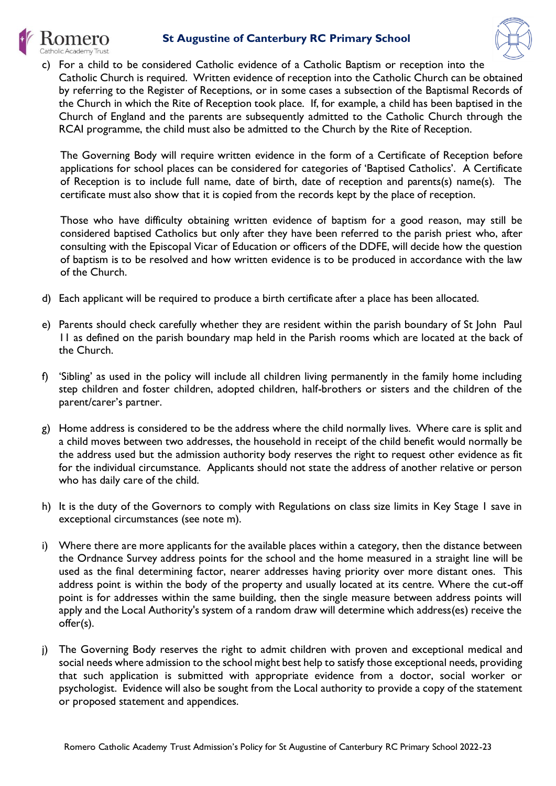## **St Augustine of Canterbury RC Primary School**





c) For a child to be considered Catholic evidence of a Catholic Baptism or reception into the Catholic Church is required. Written evidence of reception into the Catholic Church can be obtained by referring to the Register of Receptions, or in some cases a subsection of the Baptismal Records of the Church in which the Rite of Reception took place. If, for example, a child has been baptised in the Church of England and the parents are subsequently admitted to the Catholic Church through the RCAI programme, the child must also be admitted to the Church by the Rite of Reception.

The Governing Body will require written evidence in the form of a Certificate of Reception before applications for school places can be considered for categories of 'Baptised Catholics'. A Certificate of Reception is to include full name, date of birth, date of reception and parents(s) name(s). The certificate must also show that it is copied from the records kept by the place of reception.

Those who have difficulty obtaining written evidence of baptism for a good reason, may still be considered baptised Catholics but only after they have been referred to the parish priest who, after consulting with the Episcopal Vicar of Education or officers of the DDFE, will decide how the question of baptism is to be resolved and how written evidence is to be produced in accordance with the law of the Church.

- d) Each applicant will be required to produce a birth certificate after a place has been allocated.
- e) Parents should check carefully whether they are resident within the parish boundary of St John Paul 11 as defined on the parish boundary map held in the Parish rooms which are located at the back of the Church.
- f) 'Sibling' as used in the policy will include all children living permanently in the family home including step children and foster children, adopted children, half-brothers or sisters and the children of the parent/carer's partner.
- g) Home address is considered to be the address where the child normally lives. Where care is split and a child moves between two addresses, the household in receipt of the child benefit would normally be the address used but the admission authority body reserves the right to request other evidence as fit for the individual circumstance. Applicants should not state the address of another relative or person who has daily care of the child.
- h) It is the duty of the Governors to comply with Regulations on class size limits in Key Stage 1 save in exceptional circumstances (see note m).
- i) Where there are more applicants for the available places within a category, then the distance between the Ordnance Survey address points for the school and the home measured in a straight line will be used as the final determining factor, nearer addresses having priority over more distant ones. This address point is within the body of the property and usually located at its centre. Where the cut-off point is for addresses within the same building, then the single measure between address points will apply and the Local Authority's system of a random draw will determine which address(es) receive the offer(s).
- j) The Governing Body reserves the right to admit children with proven and exceptional medical and social needs where admission to the school might best help to satisfy those exceptional needs, providing that such application is submitted with appropriate evidence from a doctor, social worker or psychologist. Evidence will also be sought from the Local authority to provide a copy of the statement or proposed statement and appendices.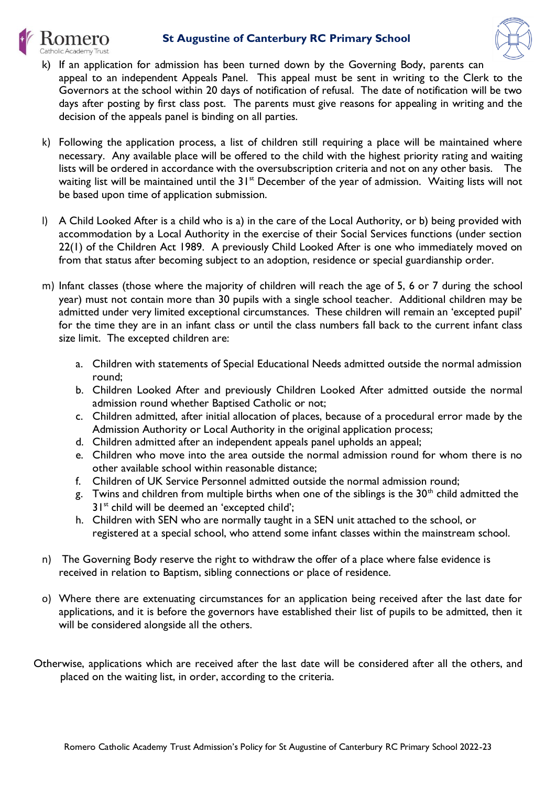## **St Augustine of Canterbury RC Primary School**





- k) If an application for admission has been turned down by the Governing Body, parents can appeal to an independent Appeals Panel. This appeal must be sent in writing to the Clerk to the Governors at the school within 20 days of notification of refusal. The date of notification will be two days after posting by first class post. The parents must give reasons for appealing in writing and the decision of the appeals panel is binding on all parties.
- k) Following the application process, a list of children still requiring a place will be maintained where necessary. Any available place will be offered to the child with the highest priority rating and waiting lists will be ordered in accordance with the oversubscription criteria and not on any other basis. The waiting list will be maintained until the 31<sup>st</sup> December of the year of admission. Waiting lists will not be based upon time of application submission.
- l) A Child Looked After is a child who is a) in the care of the Local Authority, or b) being provided with accommodation by a Local Authority in the exercise of their Social Services functions (under section 22(1) of the Children Act 1989. A previously Child Looked After is one who immediately moved on from that status after becoming subject to an adoption, residence or special guardianship order.
- m) Infant classes (those where the majority of children will reach the age of 5, 6 or 7 during the school year) must not contain more than 30 pupils with a single school teacher. Additional children may be admitted under very limited exceptional circumstances. These children will remain an 'excepted pupil' for the time they are in an infant class or until the class numbers fall back to the current infant class size limit. The excepted children are:
	- a. Children with statements of Special Educational Needs admitted outside the normal admission round;
	- b. Children Looked After and previously Children Looked After admitted outside the normal admission round whether Baptised Catholic or not;
	- c. Children admitted, after initial allocation of places, because of a procedural error made by the Admission Authority or Local Authority in the original application process;
	- d. Children admitted after an independent appeals panel upholds an appeal;
	- e. Children who move into the area outside the normal admission round for whom there is no other available school within reasonable distance;
	- f. Children of UK Service Personnel admitted outside the normal admission round;
	- g. Twins and children from multiple births when one of the siblings is the  $30<sup>th</sup>$  child admitted the  $31<sup>st</sup>$  child will be deemed an 'excepted child';
	- h. Children with SEN who are normally taught in a SEN unit attached to the school, or registered at a special school, who attend some infant classes within the mainstream school.
- n) The Governing Body reserve the right to withdraw the offer of a place where false evidence is received in relation to Baptism, sibling connections or place of residence.
- o) Where there are extenuating circumstances for an application being received after the last date for applications, and it is before the governors have established their list of pupils to be admitted, then it will be considered alongside all the others.
- Otherwise, applications which are received after the last date will be considered after all the others, and placed on the waiting list, in order, according to the criteria.